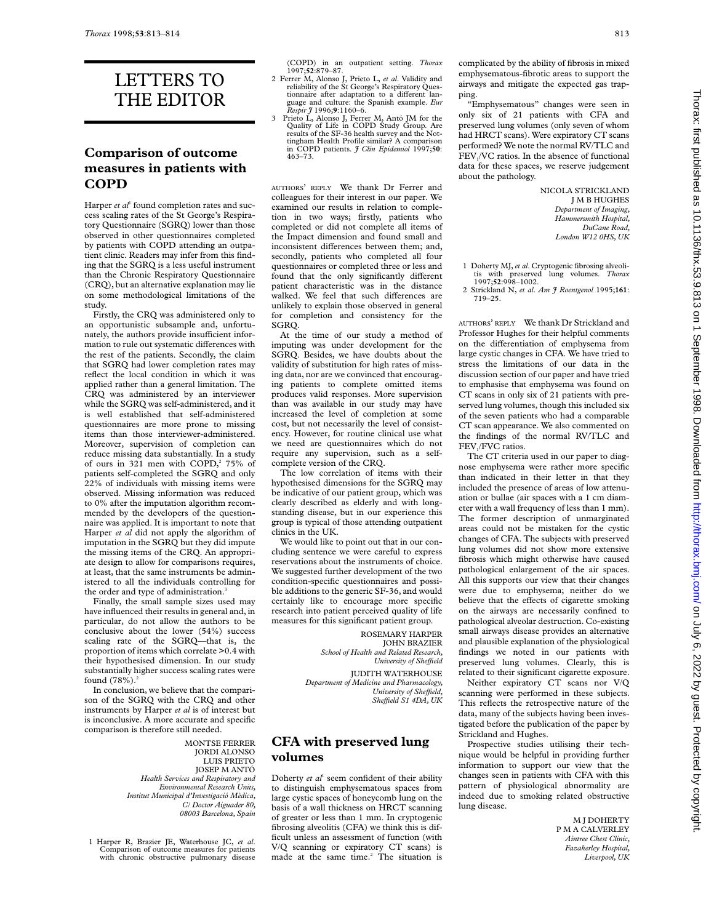# LETTERS TO THE EDITOR

#### **Comparison of outcome measures in patients with COPD**

Harper *et al*<sup>1</sup> found completion rates and success scaling rates of the St George's Respiratory Questionnaire (SGRQ) lower than those observed in other questionnaires completed by patients with COPD attending an outpatient clinic. Readers may infer from this finding that the SGRQ is a less useful instrument than the Chronic Respiratory Questionnaire (CRQ), but an alternative explanation may lie on some methodological limitations of the study.

Firstly, the CRQ was administered only to an opportunistic subsample and, unfortunately, the authors provide insufficient information to rule out systematic differences with the rest of the patients. Secondly, the claim that SGRQ had lower completion rates may reflect the local condition in which it was applied rather than a general limitation. The CRQ was administered by an interviewer while the SGRQ was self-administered, and it is well established that self-administered questionnaires are more prone to missing items than those interviewer-administered. Moreover, supervision of completion can reduce missing data substantially. In a study of ours in 321 men with COPD,<sup>2</sup> 75% of patients self-completed the SGRQ and only 22% of individuals with missing items were observed. Missing information was reduced to 0% after the imputation algorithm recommended by the developers of the questionnaire was applied. It is important to note that Harper *et al* did not apply the algorithm of imputation in the SGRQ but they did impute the missing items of the CRQ. An appropriate design to allow for comparisons requires, at least, that the same instruments be administered to all the individuals controlling for the order and type of administration.<sup>3</sup>

Finally, the small sample sizes used may have influenced their results in general and, in particular, do not allow the authors to be conclusive about the lower (54%) success scaling rate of the SGRQ—that is, the proportion of items which correlate >0.4 with their hypothesised dimension. In our study substantially higher success scaling rates were found  $(78%)$ .<sup>2</sup>

In conclusion, we believe that the comparison of the SGRQ with the CRQ and other instruments by Harper *et al* is of interest but is inconclusive. A more accurate and specific comparison is therefore still needed.

> MONTSE FERRER JORDI ALONSO LUIS PRIETO JOSEP M ANTÓ *Health Services and Respiratory and Environmental Research Units, Institut Municipal d'Investigació Mèdica, C/ Doctor Aiguader 80, 08003 Barcelona, Spain*

1 Harper R, Brazier JE, Waterhouse JC, *et al*. Comparison of outcome measures for patients with chronic obstructive pulmonary disease (COPD) in an outpatient setting. *Thorax* 1997;**52**:879–87.

- 2 Ferrer M, Alonso J, Prieto L, *et al*. Validity and reliability of the St George's Respiratory Questionnaire after adaptation to a different language and culture: the Spanish example. *Eur Respir J* 1996;**9**:1160–6.
- 3 Prieto L, Alonso J, Ferrer M, Antó JM for the Quality of Life in COPD Study Group. Are results of the SF-36 health survey and the Not-tingham Health Profile similar? A comparison in COPD patients. *J Clin Epidemiol* 1997;**50**: 463–73.

AUTHORS' REPLY We thank Dr Ferrer and colleagues for their interest in our paper. We examined our results in relation to completion in two ways; firstly, patients who completed or did not complete all items of the Impact dimension and found small and inconsistent differences between them; and, secondly, patients who completed all four questionnaires or completed three or less and found that the only significantly different patient characteristic was in the distance walked. We feel that such differences are unlikely to explain those observed in general for completion and consistency for the SGRQ.

At the time of our study a method of imputing was under development for the SGRQ. Besides, we have doubts about the validity of substitution for high rates of missing data, nor are we convinced that encouraging patients to complete omitted items produces valid responses. More supervision than was available in our study may have increased the level of completion at some cost, but not necessarily the level of consistency. However, for routine clinical use what we need are questionnaires which do not require any supervision, such as a selfcomplete version of the CRQ.

The low correlation of items with their hypothesised dimensions for the SGRQ may be indicative of our patient group, which was clearly described as elderly and with longstanding disease, but in our experience this group is typical of those attending outpatient clinics in the UK.

We would like to point out that in our concluding sentence we were careful to express reservations about the instruments of choice. We suggested further development of the two condition-specific questionnaires and possible additions to the generic SF-36, and would certainly like to encourage more specific research into patient perceived quality of life measures for this significant patient group.

> ROSEMARY HARPER JOHN BRAZIER *School of Health and Related Research, University of SheYeld*

JUDITH WATERHOUSE *Department of Medicine and Pharmacology, University of SheYeld, SheYeld S1 4DA, UK*

#### **CFA with preserved lung volumes**

Doherty *et al*<sup>1</sup> seem confident of their ability to distinguish emphysematous spaces from large cystic spaces of honeycomb lung on the basis of a wall thickness on HRCT scanning of greater or less than 1 mm. In cryptogenic fibrosing alveolitis (CFA) we think this is difficult unless an assessment of function (with V/Q scanning or expiratory CT scans) is made at the same time.<sup>2</sup> The situation is

complicated by the ability of fibrosis in mixed emphysematous-fibrotic areas to support the airways and mitigate the expected gas trapping.

"Emphysematous" changes were seen in only six of 21 patients with CFA and preserved lung volumes (only seven of whom had HRCT scans). Were expiratory CT scans performed? We note the normal RV/TLC and FEV<sub>1</sub>/VC ratios. In the absence of functional data for these spaces, we reserve judgement about the pathology.

> NICOLA STRICKLAND J M B HUGHES *Department of Imaging, Hammersmith Hospital, DuCane Road, London W12 0HS, UK*

- 1 Doherty MJ, *et al*. Cryptogenic fibrosing alveoli-tis with preserved lung volumes. *Thorax* 1997;**52**:998–1002.
- 2 Strickland N, *et al*. *Am J Roentgenol* 1995;**161**: 719–25.

AUTHORS' REPLY We thank Dr Strickland and Professor Hughes for their helpful comments on the differentiation of emphysema from large cystic changes in CFA. We have tried to stress the limitations of our data in the discussion section of our paper and have tried to emphasise that emphysema was found on CT scans in only six of 21 patients with preserved lung volumes, though this included six of the seven patients who had a comparable CT scan appearance. We also commented on the findings of the normal RV/TLC and FEV<sub>1</sub>/FVC ratios.

The CT criteria used in our paper to diagnose emphysema were rather more specific than indicated in their letter in that they included the presence of areas of low attenuation or bullae (air spaces with a 1 cm diameter with a wall frequency of less than 1 mm). The former description of unmarginated areas could not be mistaken for the cystic changes of CFA. The subjects with preserved lung volumes did not show more extensive fibrosis which might otherwise have caused pathological enlargement of the air spaces. All this supports our view that their changes were due to emphysema; neither do we believe that the effects of cigarette smoking on the airways are necessarily confined to pathological alveolar destruction. Co-existing small airways disease provides an alternative and plausible explanation of the physiological findings we noted in our patients with preserved lung volumes. Clearly, this is related to their significant cigarette exposure.

Neither expiratory CT scans nor V/Q scanning were performed in these subjects. This reflects the retrospective nature of the data, many of the subjects having been investigated before the publication of the paper by Strickland and Hughes.

Prospective studies utilising their technique would be helpful in providing further information to support our view that the changes seen in patients with CFA with this pattern of physiological abnormality are indeed due to smoking related obstructive lung disease.

> M J DOHERTY P M A CALVERLEY *Aintree Chest Clinic, Fazakerley Hospital, Liverpool, UK*